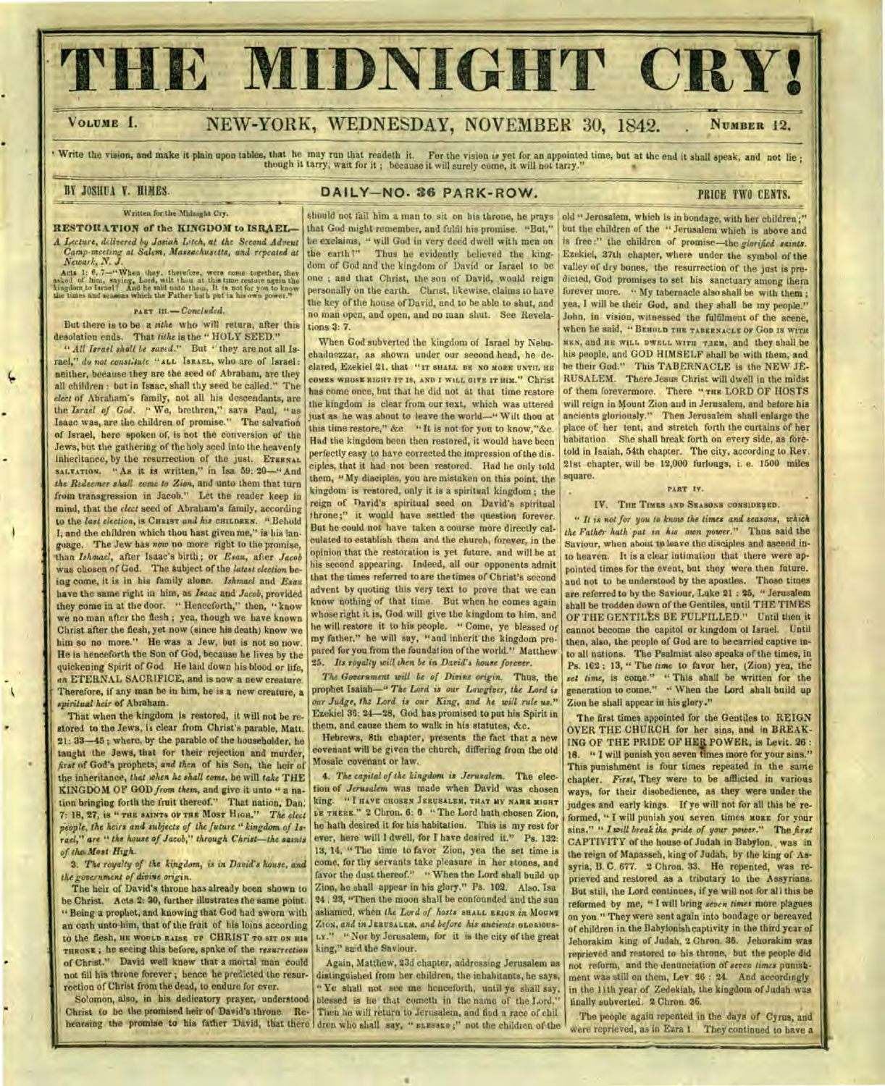# THE MIDNIGHT CRY!

# VOLUME I. NEW-YORK, WEDNESDAY, NOVEMBER 30, 1842. NUMBER 12.

Write the vision, and make it plain upon tables, that he may run that readeth it. For the vision is yet for an appointed time, but at the end it shall speak, and not lie; though it tarry, wait for it; because it will surel

## BY JOSHUA Y. HIMES. **DAILY-NO. 36 PARK-ROW.** PRICE TWO CENTS.

#### Written fur the Midnight Cry.

RESTORATION of the KINGDOM to ISRAEL-A *Lecture, delivered by Josiah Litch, at the Second Advent Camp-meeting at Salem, Massachusetts, and repeated at Newark, N. J.* 

Acts 1: 6, 7-"When they, therefore, were come together, they asked of him, saying, Lord, with theu at this time restore again the kingdom to transl And he said anto these, It is not for you to know the side times and seas

#### **FART** *lie—Concluded.*

But there is to be *a tithe* who will return, after this desolation ends. That *tithe is* the " HOLY SEED."

*" All Israel shall be saved."* But " they are not all Israel," *do not const;iute "* **ALL ISRAEL,** who are of Israel: neither, because they are the seed of Abraham, are they all children : but in Isaac, shall thy seed he called." The *elect* of Abraham's family, not all his descendants, are the *Israel of God. "* We, brethren," says Paul, " as Isaac was, are the children of promise." The salvation of Israel, here spoken of, is not the conversion of the Jews, hut the gathering of the holy seed into the heavenly inheritance, by the resurrection of the just. ETERNAL **SALVATION. "** As it is written," in Isa. 59: 20—" And *the Redeemer shall come to Zion,* and unto them that turn from transgression in Jacob." Let the reader keep in mind, that the *elect* seed of Abraham's family, according to the *last election, is CHEIST and his* CHILDREN. " Behold 1, and the children which thou hast given me," is his language. The Jew has *now* no more right to the promise, titan *Ishmael,* after Isaac's birth ; or *Esau,* after *Jacob*  was chosen of God. The Subject of the *latest election* being come, it is in his family alone. *Ishmael* and *Esau*  have the same right in him, as *Isaac* and *Jacob,* provided they come in at the door. " Henceforth," then, " know we no man after the flesh ; yea, though we have known Christ after the flesh, yet now (since his death) know we him so no more." He was a Jew, but is not so now. He is henceforth the Son of God, because he lives by the quickening Spirit of God. He laid down his blood or life, *on* ETERNAL SACRIFICE, and is now a new creature. Therefore, if any man be in him, he is a new creature, a *spiritual heir* of Abraham.

That when the kingdom is restored, it will not be restored to the Jews, is clear from Christ's parable, Matt. 2i: 33-45 ; where, by the parable of the householder, he taught the Jews, that for their rejection and murder, *first* of God's prophets, *and then* of his Son, the heir of the inheritance, *that when he shall come,* he will *take* THE KINGDOM OF GOD *from them,* and give it unto " a nation bringing forth the fruit thereof." That nation, Dan. 7: IS, 27, is " **THE SAINTS OF THE MOST HIGH."** *The elect*  people, the heirs and subjects of the future " kingdom of  $Is$ *rael," are " the house of Jacob," through Christ—the saints of the. Most High.* 

3. *The royalty of the kingdom, is in David's house, and the government of divine origin.* 

The heir of David's throne has already been shown to be Christ. Acts 2: 30, further illustrates the same point. " Being a prophet, and knowing that God had sworn with an oath unto him, that of the fruit of his loins according to the flesh, **HE WOULD RAISE UP** CHRIST **TO SIT ON HIS THRONE ;** he seeing this before, spake of the *resurrection*  of Christ." David well knew that a mortal man could not fill his throne forever ; hence he predicted the resurrection of Christ from the dead, to endure for ever.

So!omon, also, in his dedicatory prayer, understood Christ, to be the promised heir of David's throne. Re-

should not fail him a man to sit on his throne, he prays that God might remember, and fulfil his promise. "But," he exclaims, " will God in very deed dwell with men on the earth!" Thus he evidently believed the king-Thus he evidently believed the kingdom of God and the kingdom of David or Israel to be one ; and that Christ, the son of David, would reign personally on the earth. Christ, likewise, claims to have the key of the house of David, and to he able to shut, and no man open, and open, and no man shut. See Revelations 3: 7.

When God subverted the kingdom of Israel by Nebuchadnezzar, as shown under our second head, he declared, Ezekiel 21, that "IT sHALL BE NO MORE UNTIL HE **COMES WHOSE RIGHT IT IS, AND I WILL GIVE IT HIM."** Christ has come once, but that he did not at that time restore the kingdom is clear from our text, which was uttered just as he was about to leave the world—" Wilt thou at this time restore," &c. " It is not for you to know,"&c. Had the kingdom been then restored, it would have been perfectly easy to have corrected the impression of the disciples, that it had not been restored. Had he only told them, "My disciples, you are mistaken on this point, the kingdom is restored, only it is a spiritual kingdom ; the reign of David's spiritual seed on David's spiritual throne;" it would have settled the question forever. But he could not have taken a course more directly calculated to establish them and the church, forever, in the opinion that the restoration is yet future, and will he at is second appearing. Indeed, all our opponents admit that the times referred to are the times of Christ's second advent by quoting this very text to prove that we can know nothing of that time. But when he comes again whose right it is, God will give the kingdom to him, and he will restore it to his people. " Come, ye blessed Of my father," he will say, "and inherit the kingdom prepared for you from the foundation of the world." Matthew *25. Its royalty will then be in David's house forever.* 

*The Government will be of Divine origin.* Thus, the prophet Isaiah—" *The Lord is our Lawgiver, the Lord is our Judge, thz Lord is our King, and he will rule us."*  Ezekiel 36: 24-28, God has promised to put his Spirit in them, and cause them to walk in his statutes, &c.

Hebrews, 8th chapter, presents the fact that a new covenant will be given the church, differing from the old Mosaic covenant or law.

king. " I **HAVE CHOSEN JERUSALEM, THAT MY NAME MIGHT LE THERE."** 2 Chron. 6: 0. "The Lord bath chosen Zion, he bath desired it for his habitation. This is my rest for ever, here will I dwell, for I have desired it." Ps. 132: 13, 14, " The time to favor Zion, yea the set time is come, for thy servants take pleasure in her stones, and favor the dust thereof." " When the Lord shall build up Zion, he shall appear in his glory." Ps. 102. Also. Isa 24. 23, "Then the moon shall be confounded and the sun ashamed, when *the Lord of hosts* **SHALL REIGN in** MOUNT ZION, *and in* **JERUSALEM.** *and before his ancients* neoatous-LY." **"** Nor by Jerusalem, for it is the city of the great king," said the Saviour. 4. *The capital of the kingdom is Jerusalem.* The election of *Jerusalem* was made when David was chosen

hearsing the promise to his father David, that there dren who shall say, " **BLESSED ;"** not the children of the Again, Matthew, 23d chapter, addressing Jerusalem as distinguished from her children, the inhabitants, he says, " Ye shall not see me henceforth, until ye shall say, blessed is lie that cometh in the name of the Lord." Then he will return to Jerusalem, and find a race of chil

old "Jerusalem, which is in bondage, with her children ;" but the children of the " Jerusalem which is above and is free :" the children of promise—the *glorified saints.*  Ezekiel, 37th chapter, where under the symbol of the valley of dry bones, the resurrection of the just is predicted, God promises to set his sanctuary among them forever more. " My tabernacle also shall be with them ; yea, I will he their God, and they shall be my people." John, in vision, witnessed the fulfilment of the scene, when lie said, " **BEHOLD THE TABERNACLE OF** GOD **IS WITH**  MEN, and **HE WILL DWELL WITH TiEM,** and they shall be his people, and GOD HIMSELF shall be with them, and he their God." This TABERNACLE is the NEW JE-RUSALEM. There Jesus Christ will dwell in the midst of them forevermore. There " **THE** LORD OF HOSTS will reign in Mount Zion and in Jerusalem, and before his ancients gloriously." Then Jerusalem shall enlarge the place of her tent, and stretch forth the curtains of her habitation. She shall break forth on every side, as foretold in Isaiah, 54th chapter. The city, according to Rev. 21st chapter, will be 12,000 furlongs, i. e. 1500 miles square.

• ..er

#### **PART IV.**

#### IV. Tim TIMES AND SEASONS **CONSIDERED.**

**"** *It is not for you to know the times and seasons, which the Father hath put in his own power."* Thus said the Saviour, when about to leave the disciples and ascend into heaven. It is a clear intimation that there were appointed times for the event, but they were then future. and not to be understood by the apostles. Those times are referred to by the Saviour, Luke 21 : 25, " Jerusalem shall be trodden down of the Gentiles, until THE TIMES OF THE GENTILES BE FULFILLED." Until then it cannot become the capitol or kingdom of Israel. Until then, also, the people of God are to be carried captive into all nations. The Psalmist also speaks of the times, in Ps. 102 ; 13, " The *time* to favor her, (Zion) yea, the *set time, is* come." " This shall be written for the generation to come." " When the Lord shall build up Zion he shall appear in his glory."

The first times appointed for the Gentiles to REIGN OVER THE CHURCH for her sins, and in BREAK-ING OF THE PRIDE OF HER POWER, is Levit. 26: 18. " I will punish you seven times more for your sins." This punishment is four times repeated in the same chapter. First, They were to be afflicted in various ways, for their disobedience, as they were under the judges and early kings. If ye will not for all this he reformed, " I will punish you seven times MORE for your sins." " I will *break the pride of your power."* The *first*  CAPTIVITY of the house of Judah in Babylon, was in the reign of Manasseh, king of Judah, by the king of Assyria, B. C. 677. 2 Chron. 33. He repented, was reprieved and restored as a tributary to the Assyrians. But still, the Lord continues, if ye will not for all this be reformed by me, " I will bring *seven times* more plagues on you." They were sent again into bondage or bereaved of children in the Babylonish captivity in the third year of Jehorakim king of Judah, 2 Chron. 35. Jehorakim was reprieved and restored to his throne, but the people did not reform, and the denunciation of *seven times* punishment was still on them, Lev 26 : 24. And accordingly in the lith year of Zedekiah, the kingdom of Judah was finally subverted. 2 Chron. 36.

The people again repented in the days of Cyrus, and were reprieved, as in Ezra 1. They continued to have a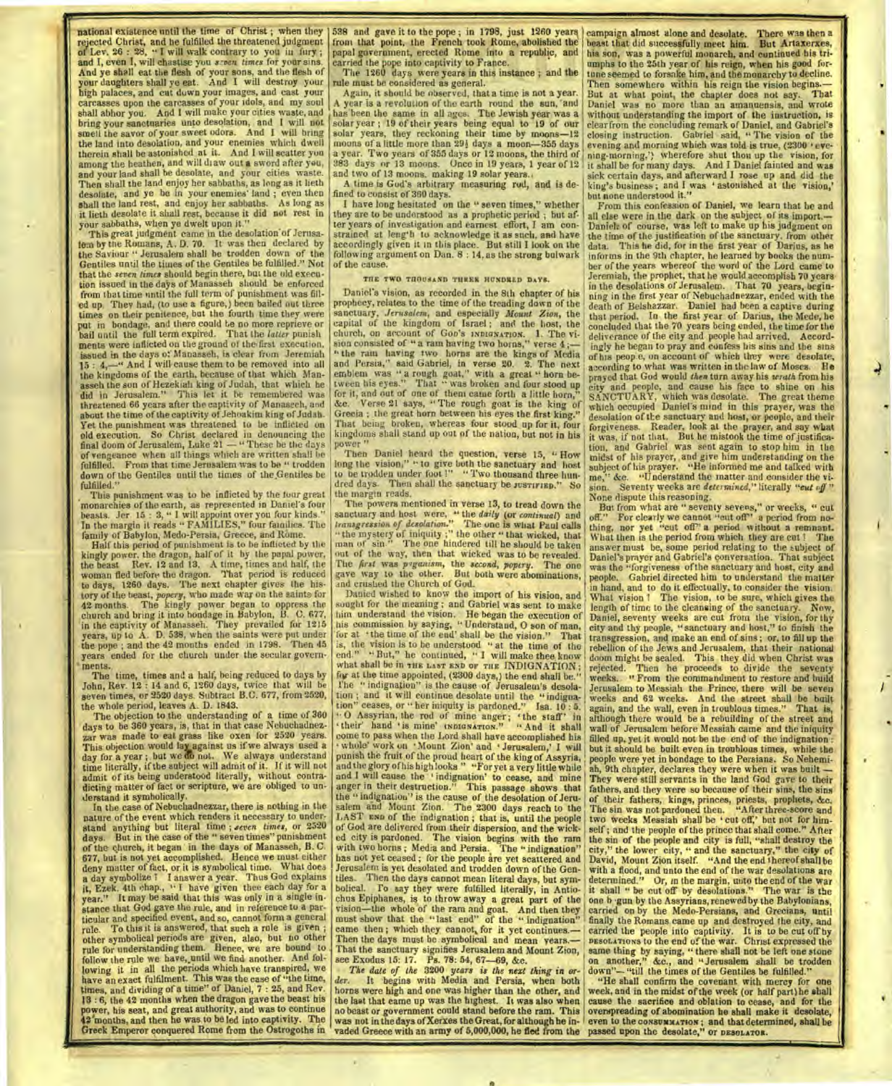**Execute** national existence until the time of Christ ; when they rejected Christ, and he fulfilled the threatened judgment of Lev. 26 : 28, " I will walk contrary to you in fury ; and I, even I, will chastise you *seven times* for your sins. And ye shall eat the flesh of your sons, and the flesh of your daughters shall ye eat. And I will destroy your high palaces, and cut down your images, and cast your carcasses upon the carcasses of your idols, and my soul shall abhor you. And I will make your cities waste, and bring your sanctuaries unto desolation, and I will not smell the savor of your sweet odors. And I will bring the land into desolation, and your enemies which dwell therein shall be astonished at it. And I will scatter you among the heathen, and will draw out a sword after you, and your land shall be desolate, and your cities waste. Then shall the land enjoy her sabbaths, as long as it lieth<br>desolate, and ye be in your enemies' land; even then<br>shall the land rest, and enjoy her sabbaths. As long as<br>it lieth desolate it shall rest, because it did not r your sabbaths, when ye dwelt upon it."

This great judgment came in the desolation'of Jerusa-lem by the Romans, A. D. 70. It was then declared by the Saviour " Jerusalem shall be trodden down of the Gentiles until the times of the Gentiles be fulfilled." Not that the *seven limes* should begin there, but the old execution issued in the days of Manasseh should be enforced from that time until the full term of punishment was filled up. They had, (to use a figure,) been bailed out three times on their penitence, but the fourth time they were put in bondage, and there could to no more reprieve or bail until the full term expired. That the *latter* punish ments were inflicted on the ground of the-first execution. issued in the days of Manasseh, is clear from Jeremiah 15 : 4,—" And I will cause them to be removed into all the kingdoms of the earth, because of that which Manasseh the son of Hezekiali king of Judah, that which he did in Jerusalem." This let it he remembered was threatened 66 years after the captivity of Manaseeh, and about the time of the captivity of Jehoakim king of Judah. Yet the punishment was threatened to be inflicted on old execution. So Christ declared in denouncing the final doom of Jerusalem, Luke 21 — "These be the days of vengeance when all things which are written shall be fulfilled. From that time Jerusalem was to be " trodden down of the Gentiles until the times of the,Gentiles be fulfilled."

This punishment was to be inflicted by the four great<br>monarchies of the earth, as represented in Daniel's four<br>beasts. Jer. 15 : 3, " I will appoint over you four kinds."<br>In the margin it reads " FAMILIES," four families. family of Babylon, Medo-Persia, Greece, and Rome.

Half this period of punishment is to be inflicted by the kingly power. the dragon, half of it by the papal power, the beast Rev. 12 and 13. A time, times and half, the woman fled before the dragon. That period is reduced to days, 1260 days. The next chapter gives the history of the teast, *popery*, who made war on the saints for 42 months. The kingly power began to oppress the church and bring it into bondage in Babylon, B. C. 6777, pars, up to  $\Lambda$ . D 538, when the saints were put under years ended for the church under the secular governments.

The time, times and a half, being reduced to days by John, Rev. 12 : 14 and 6, 1260 days, twice that will be seven times, or 2520 days. Subtract B.C. 677, from 2520, the whole period, leaves A. D. 1843.

The objection to the understanding of a time of 360 days to be 360 years, is, that in that case Nebuchadnez-zar was made to eat grass like oxen for 2520 years. This objection would lay against us if we always used a day for a year ; but we do not. We always understand<br>time literally, if the subject will admit of it. If it will not admit of its being understood literally, without contra-dicting matter of fact or scripture, we are obliged to understand it symbolically.

In the case of Nebuchadnezzar, there is nothing in the nature of the event which renders it necessary to understand anything but literal time ; *seven times*, or 2520 days. But in the case of the " seven times" punishment of the church, it began in the days of Manasseh, B. C. 677, but is not yet accomplished. Hence we must either deny matter of fact, or it is symbolical time. What does a day symbolize? I answer a year. Thus God explains it, Ezek. 4th chap., " I have given thee each day for a year." It may be said that this was only in a single instance that God gave the rule, and in reference to a par-ticular and specified event, and so, cannot form a general rule. To this it is answered, that such a rule is given other symbolical periods are given, also, but no other rule for understanding them. Hence, we are bound to follow the rule we have, until we find another. And following it in all the periods which have transpired, we have an exact fulfilment. This was the case of "the time, times, and dividing of a time" of Daniel, 7 : 25, and Rev. 13 : 6, the 42 months when the dragon gave the beast his power, his seat, and great authority, and was to continue 42 months, and then he was to be led into captivity. The Greek Emperor conquered Rome from the Ostrogoths in

I

538 and gave it to the pope ; in 1798, just 1260 years, front that point, the French took Rome, abolished the papal government, erected Rome into a republic, and carried the pope into captivity to France.

The 1260 days were years in this instance ; and the rule must be considered as general.

Again, it should be observed, that a time is not a year. A year is a revolution of the earth round the sun, and has been the same in all ages. The Jewish year was a solar year; 19 of their years being equal to 19 of our solar years, they reckoning their time by moons -12 moons of a little more than 291 days a moon-355 days or 12 moons, the third of 383 days or 13 moons, 19 gas a moon and two of 13 moons. making 19 solar years.

A time is God's arbitrary measuring rod, and is defined to consist of 360 days.

I have long hesitated on the " seven times," whether they are to be understood as a prophetic period ; but after years of investigation and earnest effort, I am constrained at length to acknowledge it as such, and have accordingly given it in this place. But still I look on the following argument on Dan. 8 : 14, as the strong bulwark of the cause.

#### THE TWO THOUSAND THREE HUNDRED DAYS.

Daniel's vision, as recorded in the 8th chapter of his prophecy, relates to the time of the treading down of the sanctuary, *Jerusalem,* and especially *Mount Zion,* the capital of the kingdom of Israel ; and the host, the church, on account of Goo's INDIGNATION. 1. The vi-<br>sion consisted of "a ram having two horns," verse 4;-" the ram having two horns are the kings of Media and Persia," said Gabriel, in verse 20. 2. The next emblem was " a rough goat," with a great " horn be-tween his eyes." That " was broken and four stood up for it, and out of one of them came forth a little horn," &c. Verse 21 says, " The rough goat is the king of Grecia ; the great horn between his eyes the first king." That being broken, whereas four stood up for it, four kingdoms shall stand up out of the nation, but not in his power " Then Daniel heard the question, verse 15, " How

long the vision," " to give both the sanctuary and host subject of his prayer. "He informed me and talked with<br>to be trodden under foot !" "Two thousand three hun- me" &c. "Understand the matter and consider the vidred days. Then shall the sanctuary be JUSTIFIED." So the margin reads.

The powers mentioned in verse 13, to tread down the man of sin." The one hindered till he should be taken ut of the way, then that wicked was to be revealed. The *first* was *pganism,* the *second, popery.* The one gave way to the other. But both were abominations, and crushed the Church of God.<br>Danied wished to know the import of his vision, and

sought for the meaning ; and Gabriel was sent to make length of time to the cleansing of the sanctuary. Now, his commission by saying, "Understand, O son of man, city and thy people, "sanctuary and host," to finish the for tion ; and it will continue desolate until the "indigna-<br>tion" ceases, or " her iniquity is pardoned." Isa. 10:5. '<sup>0</sup> Assyrian, the rod of mine anger; 'the staff' in their' hand 'is mine' usprayarrow." "And it shall punish the fruit of the proud heart of the king of Assyria, | people were yet in bondage to the Persians. So Nehemi-<br>and the glory of his high looks " "For yet a very little while | ah, 9th chapter, declares they were when with two horns; Media and Persia. The "indignation" has not yet ceased; for the people are yet scattered and Jerusalem is yet desolated and trodden down of the Gen-

The date of the 3200 years is the next thing in or- down"-"till the times of the Gentiles be fulfilled."<br>der. It begins with Media and Persia, when both "He shall confirm the covenant with mercy for one der. It begins with Media and Persia, when both "He shall confirm the covenant with mercy for one horns were high and one was higher than the other, and week, and in the midst of the week (or half part)he shall the last th

campaign almost alone and desolate. There was then a beast that did successfully meet him. But Artaxerxes, his son, was a powerful monarch, and continued his triumphs to the 25th year of his reign, when his good for-tune seemed to forsake him, and the monarchy to decline. Then somewhere within his reign the vision begins.— But at what point, the chapter does not say. That Daniel was no more than an amanuensis, and wrote without understanding the import of the instruction, is clear from the concluding remark of Daniel, and Gabriel's closing instruction. Gabriel said, " The vision of the evening and morning which was told is true, (2300 'evening-morning,') wherefore shut thou up the vision, for<br>it shall be for many days. And I Daniel fainted and was<br>sick certain days, and afterward I rose up and did the<br>king's business; and I was 'astonished at the vision,'<br>b

From this confession of Daniel, we learn that he and all else were in the dark on the subject, of its import.— Daniel: of course, was left to make up his judgment on the time of the justification of the sanctuary, from other data. This he did, for in the first year of Darius, as he informs in the 9th chapter, he learned by books the num-ber of the years whereof the word of the Lord came to Jeremiah, the prophet, that he would accomplish 70 years in the desolations of Jerusalem. That 70 years, beginning in the first year of Nebuchadnezzar, ended with the death of Belshazzar. Daniel had been a captive during that period. In the first year of Darius, the Mede, he concluded that the 70 years being ended, the time for the deliverance of the city and people had arrived. Accordingly he began to pray and confess his sins and the sins of his people, on account of which they were desolate, according to what was written in the law of Moses. He prayed that God would *then* turn away his *wrath* from his city and people, and cause his face to shine on his SANCTUARY, which was desolate. The great theme which occupied Daniel's mind in this prayer, was the desolation of the sanctuary and host, or people, and their forgiveness. Reader, look at the prayer, and say what it was, if not that. But he mistook the time of justifica-<br>tion, and Gabriel was sent again to stop him in the midst of his prayer, and give him understanding on the me," &c. "Understand the matter and consider the vi-sion. Seventy weeks are *determined,"* literally *"cut rif* " None dispute this reasoning.

sanctuary and host were, "the daily (or continual) and  $_{\text{off.}}$ " For clearly we cannot "cut off" a period from no-<br>transgression of desolution." The one is what Paul calls thing, nor yet "cut off" a period without a remn off." For clearly we cannot "cut off" a period from nothing, nor yet "cut off" a period without a remnant.<br>What then is the period from which they are cut ? The answer must be, some period relating to the subject of Daniel's prayer and Gabriel's conversation. That subject Daniel's prayer and Gabriel's conversation. was the "forgiveness of the sanctuary and host, city and people. Gabriel directed him to understand the matter d crushed the Church of God.<br>Danied wished to know the import of his vision, and What vision 1 The vision, to be sure, which gives the him understand the vision. He began the execution of Daniel, seventy weeks are cut from the vision, for thy his commission by saying, " Understand, 0 son of man, city and thy people, "sanctuary and host," to finish the at 'the time of the end' shall be the vision." That transgression, and make an end of sins; or, to fill up the<br>the vision is to be understood " at the time of the rebellion of the lews and Jerusalem, that their national is, the vision is to be understood " at the time of the rebellion of the Jews and Jerusalem, that their national<br>end." "But," he continued, " I will make thee know | doom might be sealed. This they did when Christ was end." "But," he continued, "I will make thee know | doom might be sealed. This they did when Christ was<br>what shall be in the Last and or the INDIGNATION; | rejected. Then he proceeds to divide the seventy<br>for at the time a I'he " indignation" is the cause of Jerusalem's desola- Jerusalem to Messiah the Prince, there will be sevention; and it will continue desolate until the "indigna- weeks and 62 weeks. And the street shall be built ion" ceases, or " her iniquity is pardoned." Isa. 10 : 5. again, and the wall, even in troublous times." That is, "O Assyrian, the rod of mine anger; "the staff" in although there would be a rebuilding of the street and their' hand "is mine' INDIGNATION." "And it shall wall of Jerusalem before Messiah came and the iniquity come to pas ome to pass when the Lord shall have accomplished his filled up, yet it would not be the end of the indignation :<br>whole' work on "Mount Zion" and "Jerusalem," I will shut it should be built even in tropblogs times, while t but it should be built even in troublous times, while the people were yet in bondage to the Persians. So Nehemiand I will cause the 'indignation' to cease, and mine They were still servants in the land God gave to their anger in their destruction." This passage shows that fathers, and they were so because of their sins, the sins the " indignation" is the cause of the desolation of Jeru- of their fathers, kings, princes, priests, prophets, &c. salem and Mount Zion. The 2300 days reach to the The sin was not pardoned then. "After three-score and LAST *END* of the indignation; that is, until the people two weeks Messiah shall be 'cut off,' but not for himof God are delivered from their dispersion, and the wick-self; and the people of the prince that shall come." After<br>ed city is pardoned. The vision begins with the ram the sin of the people and city is full, "shall destroy the sin of the people and city is full, "shall destroy the city," the lower city, " and the sanctuary," the city of David, Mount Zion itself. "And the end thereof shall be Jerusalem is yet desolated and trodden down of the Gen- with a flood, and unto the end of the war desolations are<br>tiles. Then the days cannot mean literal days, but sym- determined." Or, in the margin, unto the end of the chus Epiphanes, is to throw away a great part of the one b -gun by the Assyrians, renewed by the Babylonians, vision—the whole of the ram and goat. And then they carried on by the Medo-Persians, and Grecians, until must show that the "last end" of the "indignation" finally the Romans came up and destroyed the city, and<br>came then, which they cannot, for it yet continues.— earried the people into captivity. It is to be cut off by<br>Then But from what are " seventy sevens," or weeks, " cut

the last that came up was the highest. It was also when cause the sacrifice and oblation to cease, and for the<br>no beast or government could stand before the ram. This overspreading of abomination he shall make it desolate, was not in the days of Xerxes the Great, for although he in- even to the consummation; and that determined, shall be<br>vaded Greece with an army of 5,000,000, he fled from the passed upon the desolate," or pasonaror.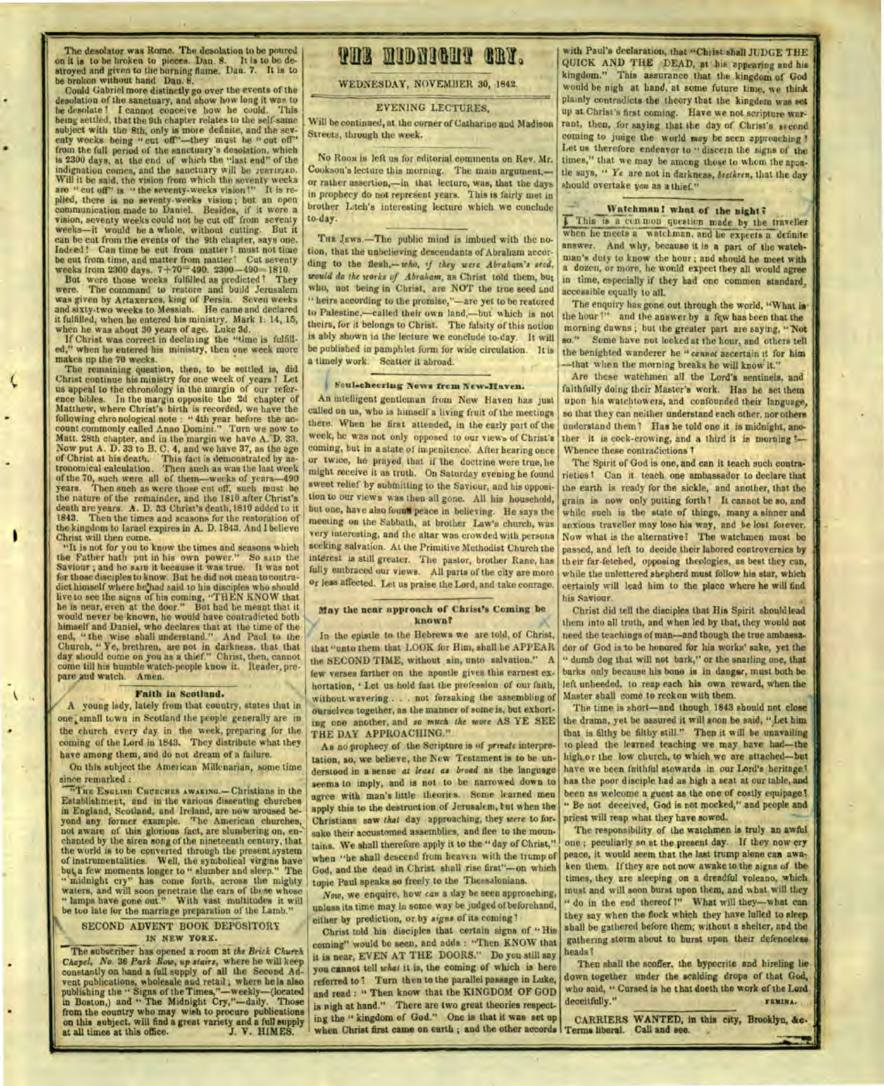The desolator was Rome. The desolation to be poured on it is to be broken to pieces. Dan. 8. It is to be de-stroyed and given to the burning flame. Dan. 7. It is to be broken without hand Dan. 8.

Could Gabriel more distinctly go over the events of the desolation of the sanctuary, and show how long it was to be desolate 1 I cannot conceive how he could. This being settled, that the 9th chapter relates to the self-same subject with the 8th, only is more definite, and the seventy weeks being " cut off"—they must be " cut off" from the full period of the sanctuary's desolation, which is 2300 days, at the end of which the "last end" of the indignation comes, and the sanctuary will be *JUSTIFIED*.<br>Will it be said, the vision from which the seventy weeks<br>are " cut off" is " the seventy-weeks vision!" It is replied, there is no seventy-weeks vision; but an open<br>communication made to Daniel. Besides, if it were a<br>vision, seventy weeks could not be cut off from seventy<br>weeks—it would be a whole, without cuting. But it<br>can be cut Indeed! Can time be cut from matter ! must not time

be cut from time, and matter from matter! Cut seventy<br>weeks from 2300 days.  $7+70=490$ . 2300-490=1810.<br>But were those weeks fulfilled as predicted! They<br>were. The command to restore and build Jerusalem<br>was given by Artaxe it fulfilled, when he entered his ministry. Mark 1: 14, 15, when he was about 30 years of age. Luke 3d.

If Christ was correct in declaring the "time is fulfilled," when he entered his ministry, then one week more makes up the 70 weeks.

The remaining question, then, to be settled is, did Christ continue his ministry for one week of years ? Let us appeal to the chronology in the margin of our reference bibles. In the margin opposite the 2d chapter of Matthew, where Christ's birth is recorded, we have the following chro nological note : " 4th year before the ac-count commonly called Anno Domini." Turn we now to Matt. 28th chapter, and in the margin we have A. D. 33.<br>Now put A. D. 33 to B. C. 4, and we have 37, as the age<br>of Christ at his death. This fact is demonstrated by as-<br>tronomical calculation. Then such as was the last wee of the 70, such were all of them—weeks of years-490 years. Then such as were those cut off, such must he the nature of the remainder, and the 1810 after Christ's death are years. A. D. 33 Christ's death, 1810 added to it 1843. Then the times and seasons for the restoration of the kingdom to Israel expires in A. D. 1843. And I believe Christ will then come.

"It is not for you to know the times and seasons which the Father hath put in his own power." So samplifies Saviour ; and he samplit because it was true. It was not for those disciples to know. But he did not mean to contradict himself where he had said to his disciples who should<br>live to see the signs of his coming, "THEN KNOW that<br>he is near, even at the door." But had he meant that it<br>would never be known, he would have contradicted both himself and Daniel, who declares that at the time of the end, " the wise shall understand." And Paul to the Church, " Ye, brethren, are not in darkness. that that day should come on you as a thief." Christ, then, cannot come till his humble watch-people know it. Reader, prepare and watch. Amen.

#### Faith in Scotland.

A young lady, lately from that country, states that in one, small town in Scotland the people generally are in the church every day in the week, preparing for the coming of the Lord in 1843. They distribute what they have among them, and do not dream of a failure.

On this subject the American Millenarian, some time since remarked :

**"THE ENGLISH CHCRCHES AWAKING.—Christians** in the Establishment, and in the various dissenting churches in England, Scotland, and Ireland, are now aroused beyond any former example. 'The American churches, not aware of this glorious fact, are slumbering on, enchanted by the siren song of the nineteenth century, that the world is to be converted through the present system of instrumentalities. Well, the symbolical virgins have but, a few moments longer to " slumber and sleep." The " midnight cry" has come forth, across the mighty waters, and will soon penetrate the ears of those whose " lamps have gone out." With vast multitudes it will be too late for the marriage preparation of the Lamb."

### SECOND ADVENT BOOK DEPOSITORY **IN NEW YORK.**

The subscriber has opened a room at *the Brick Church Chapel, No.* 36 *Park Bow, up stairs,* where he will keep constantly on hand a full supply of all the Second Advent publications, wholesale and retail ; where he is also publishing the " Signs of the Times,"—weekly—(located in Boston,) and " The Midnight Cry,"—daily. Those from the country who may wish to procure publications on this subject, will find a great variety and a full supply at all times at this office. J. V. HIM ES.

# **THE MIDNIGHT GRY.**

WEDNESDAY, NOVEMBER 30, 1842.

#### EVENING LECTURES,

Will be continued, at the corner of Catharine and Madison Streets, through the week.

No **R0031** is left us for editorial comments on Rev. Mr. Cookson's lecture this morning. The main argument, or rather assertion,—in that lecture, was, that the days in prophecy do not represent years. This is fairly met in brother Litch's interesting lecture which we conclude to-day.

THE JEWS.—The public mind is imbued with the notion, that the unbelieving descendants of Abraham according to the *flesh,—who, if they were Abraham's seed, would do the storks of Abraham,* as Christ told them, but who, not being in Christ, are NOT the true seed and " heirs according to the promise,"-are yet to be restored to Palestine,—called their own land.—but which is not theirs, for it belongs to Christ. The falsity of this notion is ably shown in the lecture we conclude to-day. It will be published in pamphlet form for wide circulation. It is a timely work. Scatter it abroad.

### **:lioul.cheering 'News from New-Iffinven.**

An intelligent gentleman from New Haven has just called on us, who is himself a living fruit of the meetings there. When he first attended, in the early part of the week, he was not only opposed to our views of Christ's coming, but in a state of impenitence'. After hearing once or twice, he prayed that if The doctrine were true, he might receive it as truth. On Saturday evening he found sweet relief by submitting to the Saviour, and his opposition to our views was then all gone. All his household, but one, have also fount peace in believing. He says the meeting on the Sabbath, at brother Law's church, was very interesting, and the altar was crowded with persons seeking salvation. At the Primitive Methodist Church the interest is still greater. The pastor, brother Rane, has fully embraced our views. All parts of the city are more or less affected. Let us praise the Lord, and take courage.

#### May the near approach of Christ's Coming be known?

In the epistle to the Hebrews we are told, of Christ, that "unto them that LOOK for Him, shall he APPEAR the SECOND TIME, without sin, unto salvation." A few verses farther on the apostle gives this earnest exhortation, "Let us hold fast the profession of our faith, without wavering . . . not forsaking the assembling of ourselves together, as the manner of some is, but exhorting one another, and *so much the snore* AS YE SEE THE DAY APPROACHING."

As no prophecy of the Scripture is of *private* interpretation, so, we believe, the New Testament is to be understood in a sense at *least as broad* as the language seems to imply, and is not to be narrowed down to agree with man's little theories. Some learned men apply this to the destruction of Jerusalem, but when the Christians saw *that* day approaching, they *were* to forsake their accustomed assemblies, and flee to the mountains. We shall therefore apply it to the " day of Christ," when "he shall descend from heaven with the trump of God, and the dead in Christ shall rise first''—on which topic Paul speaks so freely to the Thessalonians.

*Now,* we enquire, how *can* a day be seen approaching, unless its time may in some way he judged of beforehand, either by prediction, or by *signs* of its coming ?

Christ told his disciples that certain signs of " His coming" would be seen, and adds : "Then KNOW that it is near, EVEN AT THE DOORS." Do you still say you cannot tell *what* it is, the coming of which is here referred to! Turn then to the parallel passage in Luke, and read : " Then know that the KINGDOM OF GOD is nigh at hand." There are two great theories respecting the " kingdom of God." One is that it was set up

with Paul's declaration, that "Christ shall JUDGE THE QUICK AND THE DEAD, at his appearing and his kingdom." This assurance that the kingdom of God would be nigh at hand, at some future time, we think plainly contradicts the theory that the kingdom was set up at Christ's first coming. Have we not scripture war rant, then, for saying that the day of Christ's second coming to judge the world may be seen approaching ! Let us therefore endeavor to " discern the signs of the times," that we may be among those to whom the apostle says, " Ye are not in darkness, *brethren,* that the day should overtake *you* as a thief."

#### Watchman! what of the night?

 $\sqrt{\phantom{a}}$ . This is a cen.mon question made by the traveller when he meets a watchman, and he expects a definite answer. And why, because it is a part of the watchman's duty to know the hour ; and should he meet with a dozen, or more, he would expect they all would agree in time, especially if they had one common standard, accessible equally to all.

The enquiry has gone out through the world, "What isthe hour ?" and the answer by a few has been that the morning dawns ; but the greater part are saying, "'Not so." Some have not looked at the hour, and others tell the benighted wanderer he *"cannot* ascertain it for him —that when the morning breaks he will know it."

Are these watchmen all the Lord's sentinels, and faithfully doing their Master's work. Has he set them upon his watchtowers, and confounded their language, so that they can neither understand each other, nor others understand them? Has he told one it is midnight, another it is cock-crowing, and a third it is morning ?-Whence these contradictions ?

The Spirit of God is one, and can it teach such contrarieties ? Can it- teach one ambassador to declare that the earth is ready for the sickle, and another, that the grain is now only putting forth! It cannot be so, and while such is the state of things, many a sinner and anxious traveller may lose his way, and be lost forever. Now what is the alternative? The watchmen must be passed, and left to decide their labored controversies by their far-fetched, opposing theologies, as best they can, while the unlettered shepherd must follow his star, which certainly will lead him to the place where he will find his Saviour.

Christ did tell the disciples that His Spirit should lead theni into all truth, and when led by that, they would not need the teachings of man—and though the true ambassador of God is to be honored for his works' sake, yet the " dumb dog that will not bark," or the snarling one, that barks only because his bone is in danger, must both be left unheeded, to reap each his own reward, when the Master shall come to reckon with them.

The time is short—and though 1843 should not close the drama, yet he assured it will soon be said, " Let him that is filthy be filthy still." Then it will be unavailing to plead the learned teaching we may have had—the high or the low church, to which we are attached—but have we been faithful stewards in our Lord's heritage? has the poor disciple had as high a seat at our table, and been as welcome a guest as the one of costly equipage! Be not deceived, God is not mocked," and people and priest will reap what they have sowed.

The responsibility of the watchmen is truly an awful one ; peculiarly so at the present day. If they now cry peace, it would seem that the last trump alone can awaken them. If they are not now awake to the signs of the times, they are sleeping on a dreadful volcano, which must and will soon burst upon them, and what will they " do in the end thereof !" What will they-what can they say when the flock which they have lulled to sleep shall be gathered before them; without a shelter, and the gathering storm about to burst upon their defencelesa heads?

Then shall the scoffer, the hypocrite and hireling lie down together under the scalding drops of that God, who said, " Cursed is he that doeth the work of the Lord deceitfully." **FEMINA.** 

ing the "kingdom of God." One is that it was set up carrill ERS WANTED, in this city, Brooklyn, &c-<br>when Christ first came on earth ; and the other accords Terms liberal. Call and see. Terms liberal. Call and see.